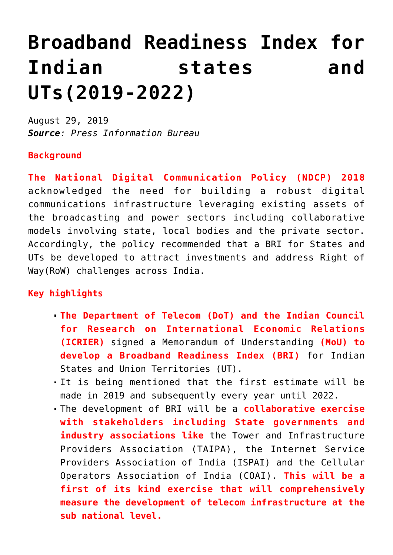## **[Broadband Readiness Index for](https://journalsofindia.com/broadband-readiness-index-for-indian-states-and-uts2019-2022/) [Indian states and](https://journalsofindia.com/broadband-readiness-index-for-indian-states-and-uts2019-2022/) [UTs\(2019-2022\)](https://journalsofindia.com/broadband-readiness-index-for-indian-states-and-uts2019-2022/)**

August 29, 2019 *Source: Press Information Bureau*

## **Background**

**The National Digital Communication Policy (NDCP) 2018** acknowledged the need for building a robust digital communications infrastructure leveraging existing assets of the broadcasting and power sectors including collaborative models involving state, local bodies and the private sector. Accordingly, the policy recommended that a BRI for States and UTs be developed to attract investments and address Right of Way(RoW) challenges across India.

## **Key highlights**

- **The Department of Telecom (DoT) and the Indian Council for Research on International Economic Relations (ICRIER)** signed a Memorandum of Understanding **(MoU) to develop a Broadband Readiness Index (BRI)** for Indian States and Union Territories (UT).
- It is being mentioned that the first estimate will be made in 2019 and subsequently every year until 2022.
- The development of BRI will be a **collaborative exercise with stakeholders including State governments and** industry associations like the Tower and Infrastructure Providers Association (TAIPA), the Internet Service Providers Association of India (ISPAI) and the Cellular Operators Association of India (COAI). **This will be a first of its kind exercise that will comprehensively measure the development of telecom infrastructure at the sub national level.**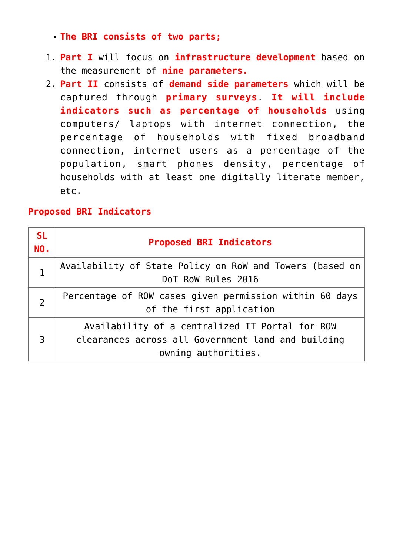- **The BRI consists of two parts;**
- 1. **Part I** will focus on **infrastructure development** based on the measurement of **nine parameters.**
- 2. **Part II** consists of **demand side parameters** which will be captured through **primary surveys**. **It will include indicators such as percentage of households** using computers/ laptops with internet connection, the percentage of households with fixed broadband connection, internet users as a percentage of the population, smart phones density, percentage of households with at least one digitally literate member, etc.

## **Proposed BRI Indicators**

| <b>SL</b><br><b>NO.</b> | <b>Proposed BRI Indicators</b>                                                                                               |
|-------------------------|------------------------------------------------------------------------------------------------------------------------------|
|                         | Availability of State Policy on RoW and Towers (based on<br>DoT RoW Rules 2016                                               |
| $\overline{2}$          | Percentage of ROW cases given permission within 60 days<br>of the first application                                          |
| 3                       | Availability of a centralized IT Portal for ROW<br>clearances across all Government land and building<br>owning authorities. |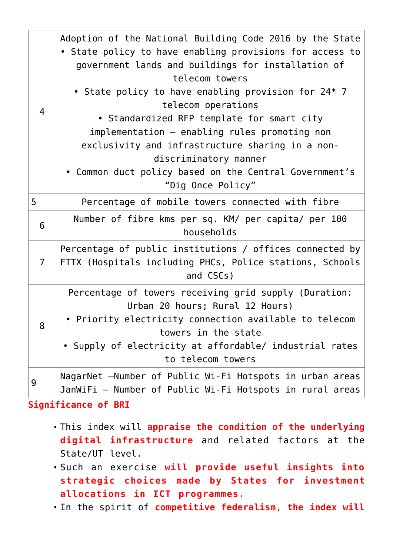| $\overline{4}$ | Adoption of the National Building Code 2016 by the State<br>• State policy to have enabling provisions for access to<br>government lands and buildings for installation of<br>telecom towers<br>• State policy to have enabling provision for 24* 7<br>telecom operations<br>• Standardized RFP template for smart city<br>implementation - enabling rules promoting non<br>exclusivity and infrastructure sharing in a non-<br>discriminatory manner<br>• Common duct policy based on the Central Government's<br>"Dig Once Policy" |
|----------------|--------------------------------------------------------------------------------------------------------------------------------------------------------------------------------------------------------------------------------------------------------------------------------------------------------------------------------------------------------------------------------------------------------------------------------------------------------------------------------------------------------------------------------------|
| 5              | Percentage of mobile towers connected with fibre                                                                                                                                                                                                                                                                                                                                                                                                                                                                                     |
| $6\phantom{1}$ | Number of fibre kms per sq. KM/ per capita/ per 100<br>households                                                                                                                                                                                                                                                                                                                                                                                                                                                                    |
| $\overline{7}$ | Percentage of public institutions / offices connected by<br>FTTX (Hospitals including PHCs, Police stations, Schools<br>and CSCs)                                                                                                                                                                                                                                                                                                                                                                                                    |
| 8              | Percentage of towers receiving grid supply (Duration:<br>Urban 20 hours; Rural 12 Hours)<br>• Priority electricity connection available to telecom<br>towers in the state<br>• Supply of electricity at affordable/ industrial rates<br>to telecom towers                                                                                                                                                                                                                                                                            |
| 9              | NagarNet -Number of Public Wi-Fi Hotspots in urban areas<br>JanWiFi - Number of Public Wi-Fi Hotspots in rural areas                                                                                                                                                                                                                                                                                                                                                                                                                 |

**Significance of BRI**

- This index will **appraise the condition of the underlying digital infrastructure** and related factors at the State/UT level.
- Such an exercise **will provide useful insights into strategic choices made by States for investment allocations in ICT programmes.**
- In the spirit of **competitive federalism, the index will**